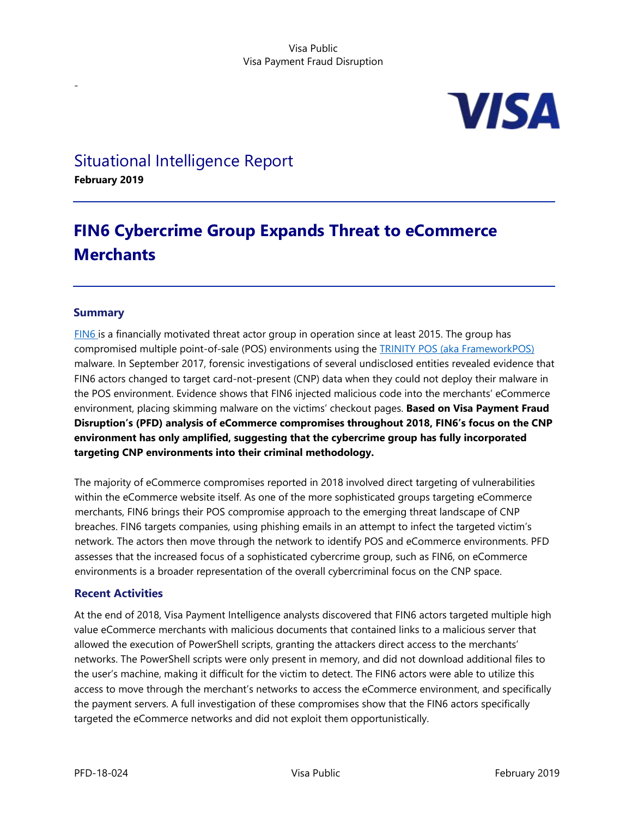

## Situational Intelligence Report

**February 2019**

-

# **FIN6 Cybercrime Group Expands Threat to eCommerce Merchants**

### **Summary**

[FIN6 i](https://attack.mitre.org/groups/G0037/)s a financially motivated threat actor group in operation since at least 2015. The group has compromised multiple point-of-sale (POS) environments using the [TRINITY POS \(aka FrameworkPOS\)](https://www.cyber.nj.gov/threat-profiles/pos-malware-variants/frameworkpos) malware. In September 2017, forensic investigations of several undisclosed entities revealed evidence that FIN6 actors changed to target card-not-present (CNP) data when they could not deploy their malware in the POS environment. Evidence shows that FIN6 injected malicious code into the merchants' eCommerce environment, placing skimming malware on the victims' checkout pages. **Based on Visa Payment Fraud Disruption's (PFD) analysis of eCommerce compromises throughout 2018, FIN6's focus on the CNP environment has only amplified, suggesting that the cybercrime group has fully incorporated targeting CNP environments into their criminal methodology.** 

The majority of eCommerce compromises reported in 2018 involved direct targeting of vulnerabilities within the eCommerce website itself. As one of the more sophisticated groups targeting eCommerce merchants, FIN6 brings their POS compromise approach to the emerging threat landscape of CNP breaches. FIN6 targets companies, using phishing emails in an attempt to infect the targeted victim's network. The actors then move through the network to identify POS and eCommerce environments. PFD assesses that the increased focus of a sophisticated cybercrime group, such as FIN6, on eCommerce environments is a broader representation of the overall cybercriminal focus on the CNP space.

## **Recent Activities**

At the end of 2018, Visa Payment Intelligence analysts discovered that FIN6 actors targeted multiple high value eCommerce merchants with malicious documents that contained links to a malicious server that allowed the execution of PowerShell scripts, granting the attackers direct access to the merchants' networks. The PowerShell scripts were only present in memory, and did not download additional files to the user's machine, making it difficult for the victim to detect. The FIN6 actors were able to utilize this access to move through the merchant's networks to access the eCommerce environment, and specifically the payment servers. A full investigation of these compromises show that the FIN6 actors specifically targeted the eCommerce networks and did not exploit them opportunistically.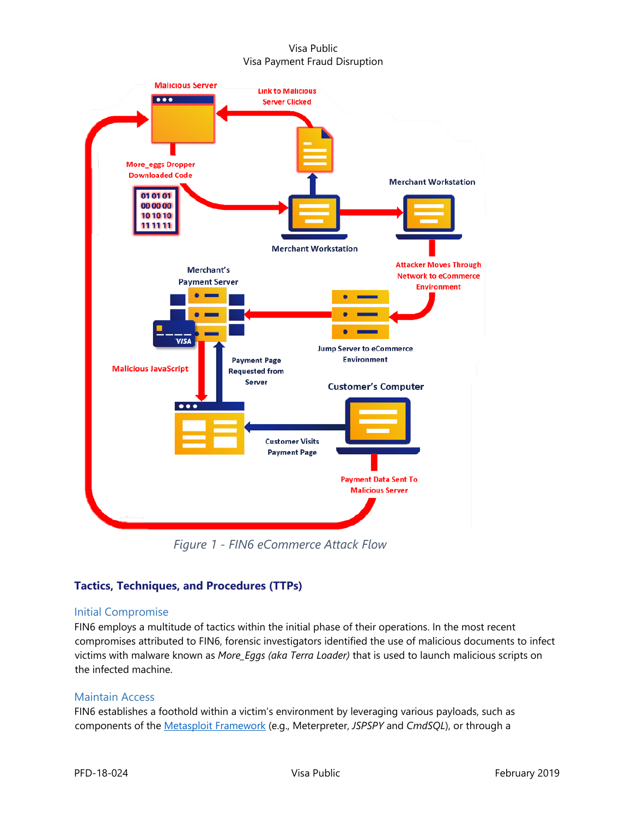

*Figure 1 - FIN6 eCommerce Attack Flow*

## **Tactics, Techniques, and Procedures (TTPs)**

## Initial Compromise

FIN6 employs a multitude of tactics within the initial phase of their operations. In the most recent compromises attributed to FIN6, forensic investigators identified the use of malicious documents to infect victims with malware known as *More\_Eggs (aka Terra Loader)* that is used to launch malicious scripts on the infected machine.

## Maintain Access

FIN6 establishes a foothold within a victim's environment by leveraging various payloads, such as components of the [Metasploit Framework](https://www.rapid7.com/products/metasploit/) (e.g., Meterpreter, *JSPSPY* and *CmdSQL*), or through a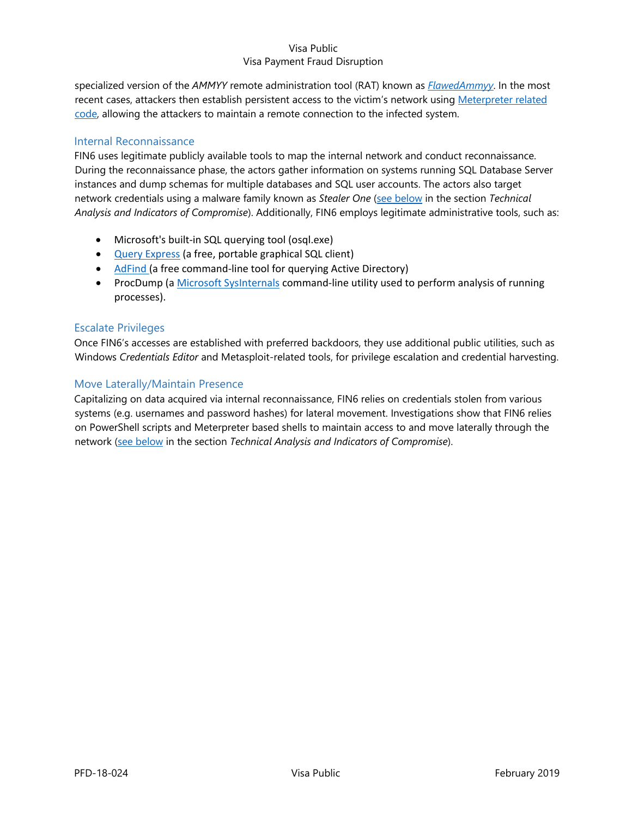specialized version of the *AMMYY* remote administration tool (RAT) known as *[FlawedAmmyy](https://www.symantec.com/blogs/threat-intelligence/retail-threats-formjacking-pos)*. In the most recent cases, attackers then establish persistent access to the victim's network usin[g Meterpreter related](https://www.rapid7.com/db/modules/payload/windows/meterpreter/reverse_tcp)  [code,](https://www.rapid7.com/db/modules/payload/windows/meterpreter/reverse_tcp) allowing the attackers to maintain a remote connection to the infected system.

## Internal Reconnaissance

FIN6 uses legitimate publicly available tools to map the internal network and conduct reconnaissance. During the reconnaissance phase, the actors gather information on systems running SQL Database Server instances and dump schemas for multiple databases and SQL user accounts. The actors also target network credentials using a malware family known as *Stealer One* [\(see below](#page-3-0) in the section *Technical Analysis and Indicators of Compromise*). Additionally, FIN6 employs legitimate administrative tools, such as:

- Microsoft's built-in SQL querying tool (osql.exe)
- [Query Express](http://www.albahari.com/queryexpress.aspx) (a free, portable graphical SQL client)
- [AdFind \(](http://www.joeware.net/freetools/tools/adfind/)a free command-line tool for querying Active Directory)
- ProcDump (a [Microsoft SysInternals](https://docs.microsoft.com/en-us/sysinternals/) command-line utility used to perform analysis of running processes).

#### Escalate Privileges

Once FIN6's accesses are established with preferred backdoors, they use additional public utilities, such as Windows *Credentials Editor* and Metasploit-related tools, for privilege escalation and credential harvesting.

#### Move Laterally/Maintain Presence

Capitalizing on data acquired via internal reconnaissance, FIN6 relies on credentials stolen from various systems (e.g. usernames and password hashes) for lateral movement. Investigations show that FIN6 relies on PowerShell scripts and Meterpreter based shells to maintain access to and move laterally through the network [\(see below](#page-4-0) in the section *Technical Analysis and Indicators of Compromise*).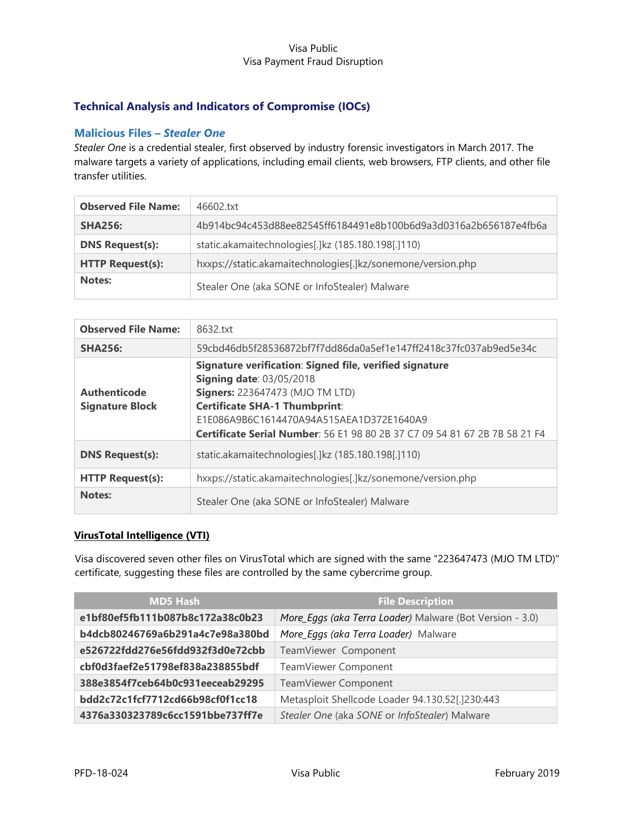## **Technical Analysis and Indicators of Compromise (IOCs)**

### <span id="page-3-0"></span>**Malicious Files –** *Stealer One*

*Stealer One* is a credential stealer, first observed by industry forensic investigators in March 2017. The malware targets a variety of applications, including email clients, web browsers, FTP clients, and other file transfer utilities.

| <b>Observed File Name:</b> | 46602.txt                                                        |  |
|----------------------------|------------------------------------------------------------------|--|
| <b>SHA256:</b>             | 4b914bc94c453d88ee82545ff6184491e8b100b6d9a3d0316a2b656187e4fb6a |  |
| <b>DNS Request(s):</b>     | static.akamaitechnologies[.]kz (185.180.198[.]110)               |  |
| <b>HTTP Request(s):</b>    | hxxps://static.akamaitechnologies[.]kz/sonemone/version.php      |  |
| Notes:                     | Stealer One (aka SONE or InfoStealer) Malware                    |  |

| <b>Observed File Name:</b>                    | 8632.txt                                                                                                                                                                                                                                                                                               |  |
|-----------------------------------------------|--------------------------------------------------------------------------------------------------------------------------------------------------------------------------------------------------------------------------------------------------------------------------------------------------------|--|
| <b>SHA256:</b>                                | 59cbd46db5f28536872bf7f7dd86da0a5ef1e147ff2418c37fc037ab9ed5e34c                                                                                                                                                                                                                                       |  |
| <b>Authenticode</b><br><b>Signature Block</b> | Signature verification: Signed file, verified signature<br><b>Signing date: 03/05/2018</b><br><b>Signers:</b> 223647473 (MJO TM LTD)<br><b>Certificate SHA-1 Thumbprint:</b><br>E1E086A9B6C1614470A94A515AEA1D372E1640A9<br>Certificate Serial Number: 56 E1 98 80 2B 37 C7 09 54 81 67 2B 7B 58 21 F4 |  |
| <b>DNS Request(s):</b>                        | static.akamaitechnologies[.]kz (185.180.198[.]110)                                                                                                                                                                                                                                                     |  |
| <b>HTTP Request(s):</b>                       | hxxps://static.akamaitechnologies[.]kz/sonemone/version.php                                                                                                                                                                                                                                            |  |
| Notes:                                        | Stealer One (aka SONE or InfoStealer) Malware                                                                                                                                                                                                                                                          |  |

#### **VirusTotal Intelligence (VTI)**

Visa discovered seven other files on VirusTotal which are signed with the same "223647473 (MJO TM LTD)" certificate, suggesting these files are controlled by the same cybercrime group.

| <b>MD5 Hash</b>                  | <b>File Description</b>                                  |
|----------------------------------|----------------------------------------------------------|
| e1bf80ef5fb111b087b8c172a38c0b23 | More_Eggs (aka Terra Loader) Malware (Bot Version - 3.0) |
| b4dcb80246769a6b291a4c7e98a380bd | More_Eggs (aka Terra Loader) Malware                     |
| e526722fdd276e56fdd932f3d0e72cbb | TeamViewer Component                                     |
| cbf0d3faef2e51798ef838a238855bdf | TeamViewer Component                                     |
| 388e3854f7ceb64b0c931eeceab29295 | TeamViewer Component                                     |
| bdd2c72c1fcf7712cd66b98cf0f1cc18 | Metasploit Shellcode Loader 94.130.52[.]230:443          |
| 4376a330323789c6cc1591bbe737ff7e | Stealer One (aka SONE or InfoStealer) Malware            |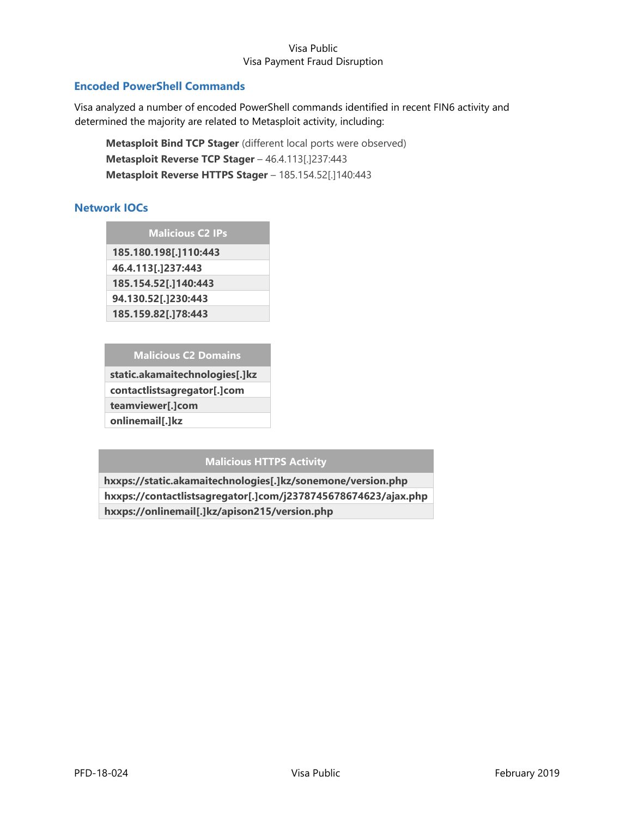## <span id="page-4-0"></span>**Encoded PowerShell Commands**

Visa analyzed a number of encoded PowerShell commands identified in recent FIN6 activity and determined the majority are related to Metasploit activity, including:

**Metasploit Bind TCP Stager** (different local ports were observed) **Metasploit Reverse TCP Stager** – 46.4.113[.]237:443 **Metasploit Reverse HTTPS Stager** – 185.154.52[.]140:443

## **Network IOCs**

**Malicious C2 IPs**

**185.180.198[.]110:443 46.4.113[.]237:443 185.154.52[.]140:443 94.130.52[.]230:443 185.159.82[.]78:443**

#### **Malicious C2 Domains**

**static.akamaitechnologies[.]kz contactlistsagregator[.]com teamviewer[.]com onlinemail[.]kz**

**Malicious HTTPS Activity**

**hxxps://static.akamaitechnologies[.]kz/sonemone/version.php hxxps://contactlistsagregator[.]com/j2378745678674623/ajax.php hxxps://onlinemail[.]kz/apison215/version.php**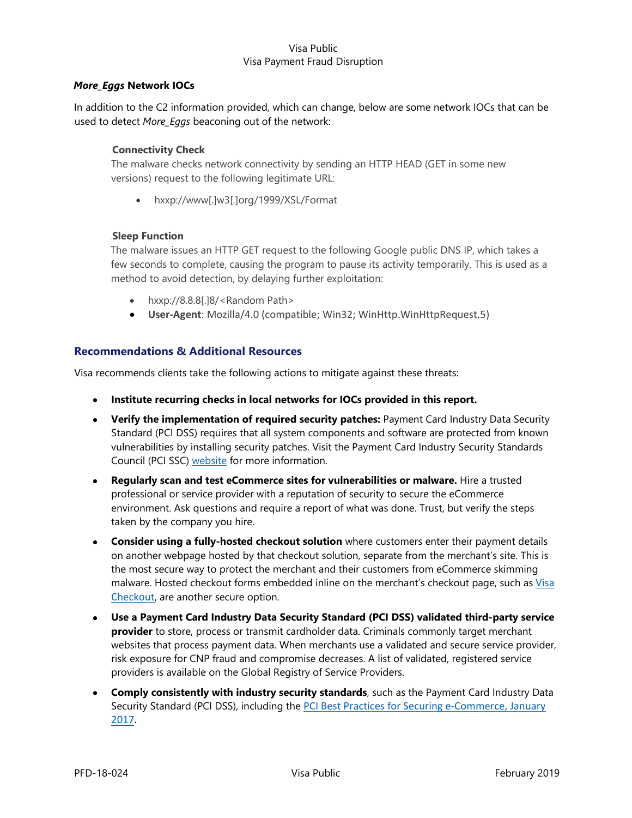#### *More\_Eggs* **Network IOCs**

In addition to the C2 information provided, which can change, below are some network IOCs that can be used to detect *More\_Eggs* beaconing out of the network:

#### **Connectivity Check**

The malware checks network connectivity by sending an HTTP HEAD (GET in some new versions) request to the following legitimate URL:

• hxxp://www[.]w3[.]org/1999/XSL/Format

#### **Sleep Function**

The malware issues an HTTP GET request to the following Google public DNS IP, which takes a few seconds to complete, causing the program to pause its activity temporarily. This is used as a method to avoid detection, by delaying further exploitation:

- hxxp://8.8.8[.]8/<Random Path>
- **User-Agent**: Mozilla/4.0 (compatible; Win32; WinHttp.WinHttpRequest.5)

#### **Recommendations & Additional Resources**

Visa recommends clients take the following actions to mitigate against these threats:

- **Institute recurring checks in local networks for IOCs provided in this report.**
- **Verify the implementation of required security patches:** Payment Card Industry Data Security Standard (PCI DSS) requires that all system components and software are protected from known vulnerabilities by installing security patches. Visit the Payment Card Industry Security Standards Council (PCI SSC) [website](https://www.pcisecuritystandards.org/) for more information.
- **Regularly scan and test eCommerce sites for vulnerabilities or malware.** Hire a trusted professional or service provider with a reputation of security to secure the eCommerce environment. Ask questions and require a report of what was done. Trust, but verify the steps taken by the company you hire.
- **Consider using a [fully-hosted checkout solution](https://www.cardinalcommerce.com/startups/online-payments/what-is-hosted-checkout)** where customers enter their payment details on another webpage hosted by that checkout solution, separate from the merchant's site. This is the most secure way to protect the merchant and their customers from eCommerce skimming malware. Hosted checkout forms embedded inline on the merchant's checkout page, such as [Visa](https://usa.visa.com/run-your-business/small-business-tools/payment-technology/visa-checkout.html)  [Checkout](https://usa.visa.com/run-your-business/small-business-tools/payment-technology/visa-checkout.html)[, a](https://usa.visa.com/run-your-business/small-business-tools/payment-technology/visa-checkout.html)re another secure option.
- **Use a Payment Card Industry Data Security Standard (PCI DSS) validated third-party service provider** to store, process or transmit cardholder data. Criminals commonly target merchant websites that process payment data. When merchants use a validated and secure service provider, risk exposure for CNP fraud and compromise decreases. A list of validated, registered service providers is available on the [Global Registry of Service](https://www.visa.com/splisting/) [Providers.](https://www.visa.com/splisting/)
- **Comply consistently with industry security standards**, such as th[e Payment Card Industry Data](https://www.pcisecuritystandards.org/pdfs/best_practices_securing_ecommerce.pdf)  [Security](https://www.pcisecuritystandards.org/pdfs/best_practices_securing_ecommerce.pdf) [Standard](https://www.pcisecuritystandards.org/pdfs/best_practices_securing_ecommerce.pdf) (PCI DSS), including the [PCI Best Practices for Securing e-Commerce, January](https://www.pcisecuritystandards.org/pdfs/best_practices_securing_ecommerce.pdf)  [2017.](https://www.pcisecuritystandards.org/pdfs/best_practices_securing_ecommerce.pdf)